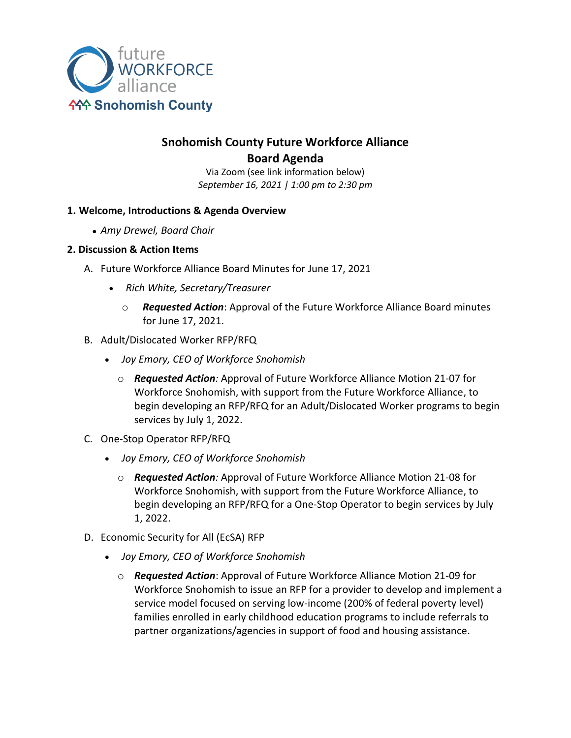

# **Snohomish County Future Workforce Alliance Board Agenda**

Via Zoom (see link information below) *September 16, 2021 | 1:00 pm to 2:30 pm*

## **1. Welcome, Introductions & Agenda Overview**

• *Amy Drewel, Board Chair*

## **2. Discussion & Action Items**

- A. Future Workforce Alliance Board Minutes for June 17, 2021
	- *Rich White, Secretary/Treasurer*
		- o *Requested Action*: Approval of the Future Workforce Alliance Board minutes for June 17, 2021.
- B. Adult/Dislocated Worker RFP/RFQ
	- *Joy Emory, CEO of Workforce Snohomish*
		- o *Requested Action:* Approval of Future Workforce Alliance Motion 21-07 for Workforce Snohomish, with support from the Future Workforce Alliance, to begin developing an RFP/RFQ for an Adult/Dislocated Worker programs to begin services by July 1, 2022.
- C. One-Stop Operator RFP/RFQ
	- *Joy Emory, CEO of Workforce Snohomish*
		- o *Requested Action:* Approval of Future Workforce Alliance Motion 21-08 for Workforce Snohomish, with support from the Future Workforce Alliance, to begin developing an RFP/RFQ for a One-Stop Operator to begin services by July 1, 2022.
- D. Economic Security for All (EcSA) RFP
	- *Joy Emory, CEO of Workforce Snohomish*
		- o *Requested Action*: Approval of Future Workforce Alliance Motion 21-09 for Workforce Snohomish to issue an RFP for a provider to develop and implement a service model focused on serving low-income (200% of federal poverty level) families enrolled in early childhood education programs to include referrals to partner organizations/agencies in support of food and housing assistance.